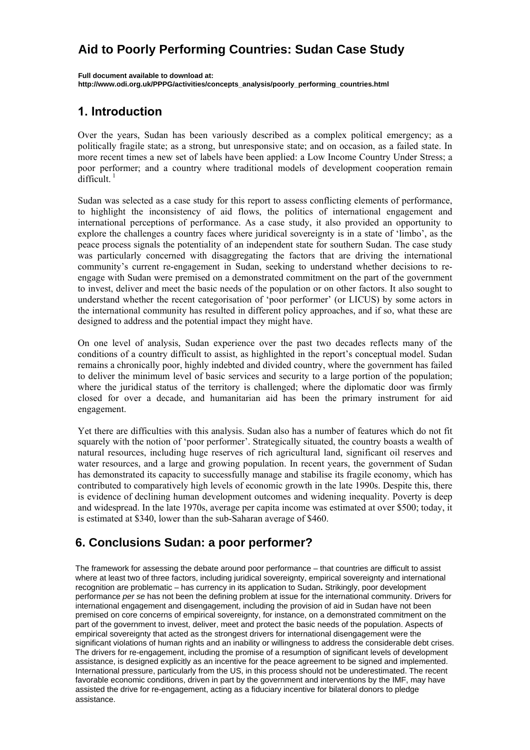# **Aid to Poorly Performing Countries: Sudan Case Study**

**Full document available to download at: http://www.odi.org.uk/PPPG/activities/concepts\_analysis/poorly\_performing\_countries.html**

## **1. Introduction**

Over the years, Sudan has been variously described as a complex political emergency; as a politically fragile state; as a strong, but unresponsive state; and on occasion, as a failed state. In more recent times a new set of labels have been applied: a Low Income Country Under Stress; a poor performer; and a country where traditional models of development cooperation remain  $difficult.<sup>1</sup>$ 

Sudan was selected as a case study for this report to assess conflicting elements of performance, to highlight the inconsistency of aid flows, the politics of international engagement and international perceptions of performance. As a case study, it also provided an opportunity to explore the challenges a country faces where juridical sovereignty is in a state of 'limbo', as the peace process signals the potentiality of an independent state for southern Sudan. The case study was particularly concerned with disaggregating the factors that are driving the international community's current re-engagement in Sudan, seeking to understand whether decisions to reengage with Sudan were premised on a demonstrated commitment on the part of the government to invest, deliver and meet the basic needs of the population or on other factors. It also sought to understand whether the recent categorisation of 'poor performer' (or LICUS) by some actors in the international community has resulted in different policy approaches, and if so, what these are designed to address and the potential impact they might have.

On one level of analysis, Sudan experience over the past two decades reflects many of the conditions of a country difficult to assist, as highlighted in the report's conceptual model. Sudan remains a chronically poor, highly indebted and divided country, where the government has failed to deliver the minimum level of basic services and security to a large portion of the population; where the juridical status of the territory is challenged; where the diplomatic door was firmly closed for over a decade, and humanitarian aid has been the primary instrument for aid engagement.

Yet there are difficulties with this analysis. Sudan also has a number of features which do not fit squarely with the notion of 'poor performer'. Strategically situated, the country boasts a wealth of natural resources, including huge reserves of rich agricultural land, significant oil reserves and water resources, and a large and growing population. In recent years, the government of Sudan has demonstrated its capacity to successfully manage and stabilise its fragile economy, which has contributed to comparatively high levels of economic growth in the late 1990s. Despite this, there is evidence of declining human development outcomes and widening inequality. Poverty is deep and widespread. In the late 1970s, average per capita income was estimated at over \$500; today, it is estimated at \$340, lower than the sub-Saharan average of \$460.

## **6. Conclusions Sudan: a poor performer?**

favorable economic conditions, driven in part by the government and interventions by the IMF, may have where at least two of three factors, including juridical sovereignty, empirical sovereignty and international<br>secondities are perhaps that the convenients its condition to Outles, Outlineds are a development recognition are problematic – has currency in its application to Sudan. Suntingly, poor development<br>performance *per se* has not been the defining problem at issue for the international community. Drivers for periormatic per so has het been the defining presiont at least for the international community. Britter of the<br>international engagement and disengagement, including the provision of aid in Sudan have not been premised on core concerns of empirical sovereignty, for instance, on a demonstrated commitment on the empirical sovereignty that acted as the strongest drivers for international disengagement were the empined sovereignly that detect as the strongest drivers for international discrigagement were the<br>significant violations of human rights and an inability or willingness to address the considerable debt crises. The drivers for re-engagement, including the promise of a resumption of significant levels of development The framework for assessing the debate around poor performance – that countries are difficult to assist recognition are problematic – has currency in its application to Sudan**.** Strikingly, poor development part of the government to invest, deliver, meet and protect the basic needs of the population. Aspects of assistance, is designed explicitly as an incentive for the peace agreement to be signed and implemented. International pressure, particularly from the US, in this process should not be underestimated. The recent assisted the drive for re-engagement, acting as a fiduciary incentive for bilateral donors to pledge assistance.